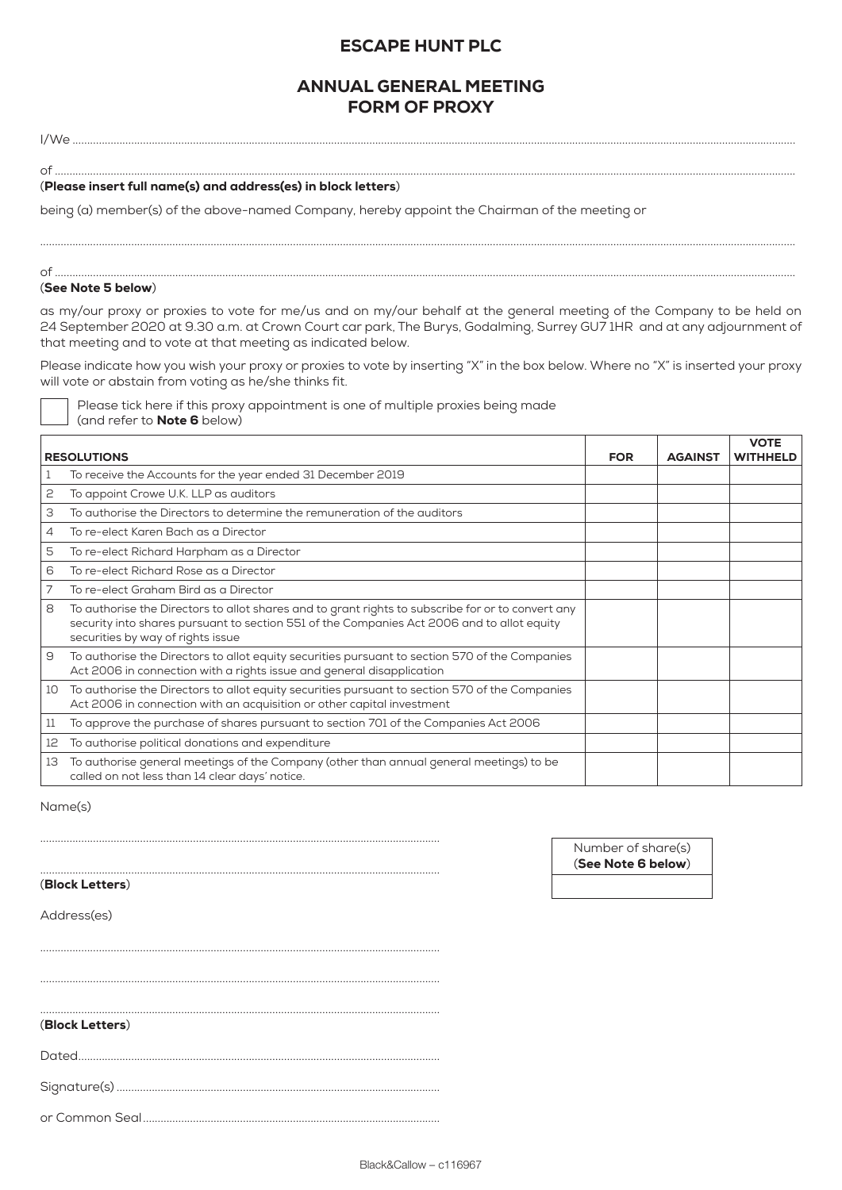# ESCAPE HUNT PLC

## ANNUAL GENERAL MEETING FORM OF PROXY

I/We ......................................................................................................................................................................................................................................................

 $\circ$  f

### (Please insert full name(s) and address(es) in block letters)

being (a) member(s) of the above-named Company, hereby appoint the Chairman of the meeting or

### of ............................................................................................................................................................................................................................................................

## (See Note 5 below)

as my/our proxy or proxies to vote for me/us and on my/our behalf at the general meeting of the Company to be held on 24 September 2020 at 9.30 a.m. at Crown Court car park, The Burys, Godalming, Surrey GU7 1HR and at any adjournment of that meeting and to vote at that meeting as indicated below.

.................................................................................................................................................................................................................................................................

Please indicate how you wish your proxy or proxies to vote by inserting "X" in the box below. Where no "X" is inserted your proxy will vote or abstain from voting as he/she thinks fit.

| Please tick here if this proxy appointment is one of multiple proxies being made |  |  |
|----------------------------------------------------------------------------------|--|--|
| (and refer to <b>Note 6</b> below)                                               |  |  |

|                    |                                                                                                                                                                                                                                      |            |                | <b>VOTE</b>     |
|--------------------|--------------------------------------------------------------------------------------------------------------------------------------------------------------------------------------------------------------------------------------|------------|----------------|-----------------|
| <b>RESOLUTIONS</b> |                                                                                                                                                                                                                                      | <b>FOR</b> | <b>AGAINST</b> | <b>WITHHELD</b> |
| 1                  | To receive the Accounts for the year ended 31 December 2019                                                                                                                                                                          |            |                |                 |
| 2                  | To appoint Crowe U.K. LLP as auditors                                                                                                                                                                                                |            |                |                 |
| З                  | To authorise the Directors to determine the remuneration of the auditors                                                                                                                                                             |            |                |                 |
| 4                  | To re-elect Karen Bach as a Director                                                                                                                                                                                                 |            |                |                 |
| 5                  | To re-elect Richard Harpham as a Director                                                                                                                                                                                            |            |                |                 |
| 6                  | To re-elect Richard Rose as a Director                                                                                                                                                                                               |            |                |                 |
| 7                  | To re-elect Graham Bird as a Director                                                                                                                                                                                                |            |                |                 |
| 8                  | To authorise the Directors to allot shares and to grant rights to subscribe for or to convert any<br>security into shares pursuant to section 551 of the Companies Act 2006 and to allot equity<br>securities by way of rights issue |            |                |                 |
| 9                  | To authorise the Directors to allot equity securities pursuant to section 570 of the Companies<br>Act 2006 in connection with a rights issue and general disapplication                                                              |            |                |                 |
| 10                 | To authorise the Directors to allot equity securities pursuant to section 570 of the Companies<br>Act 2006 in connection with an acquisition or other capital investment                                                             |            |                |                 |
| 11                 | To approve the purchase of shares pursuant to section 701 of the Companies Act 2006                                                                                                                                                  |            |                |                 |
| 12                 | To authorise political donations and expenditure                                                                                                                                                                                     |            |                |                 |
| 13                 | To authorise general meetings of the Company (other than annual general meetings) to be<br>called on not less than 14 clear days' notice.                                                                                            |            |                |                 |

Name(s)

(Block Letters)

Number of share(s) (See Note 6 below)

Address(es)

(Block Letters)

Dated...........................................................................................................................

........................................................................................................................................

........................................................................................................................................

........................................................................................................................................

........................................................................................................................................

........................................................................................................................................

Signature(s) ..............................................................................................................

or Common Seal.....................................................................................................